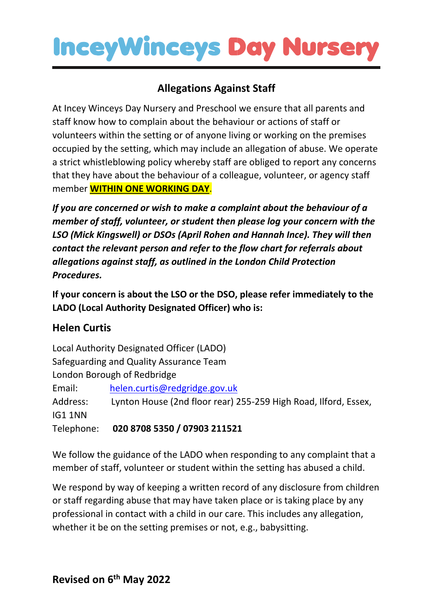### **InceyWinceys Day Nurse**

### **Allegations Against Staff**

At Incey Winceys Day Nursery and Preschool we ensure that all parents and staff know how to complain about the behaviour or actions of staff or volunteers within the setting or of anyone living or working on the premises occupied by the setting, which may include an allegation of abuse. We operate a strict whistleblowing policy whereby staff are obliged to report any concerns that they have about the behaviour of a colleague, volunteer, or agency staff member **WITHIN ONE WORKING DAY**.

*If you are concerned or wish to make a complaint about the behaviour of a member of staff, volunteer, or student then please log your concern with the LSO (Mick Kingswell) or DSOs (April Rohen and Hannah Ince). They will then contact the relevant person and refer to the flow chart for referrals about allegations against staff, as outlined in the London Child Protection Procedures.*

**If your concern is about the LSO or the DSO, please refer immediately to the LADO (Local Authority Designated Officer) who is:**

#### **Helen Curtis**

Local Authority Designated Officer (LADO) Safeguarding and Quality Assurance Team London Borough of Redbridge Email: [helen.curtis@redgridge.gov.uk](mailto:helen.curtis@redgridge.gov.uk) Address: Lynton House (2nd floor rear) 255-259 High Road, Ilford, Essex, IG1 1NN Telephone: **020 8708 5350 / 07903 211521**

We follow the guidance of the LADO when responding to any complaint that a member of staff, volunteer or student within the setting has abused a child.

We respond by way of keeping a written record of any disclosure from children or staff regarding abuse that may have taken place or is taking place by any professional in contact with a child in our care. This includes any allegation, whether it be on the setting premises or not, e.g., babysitting.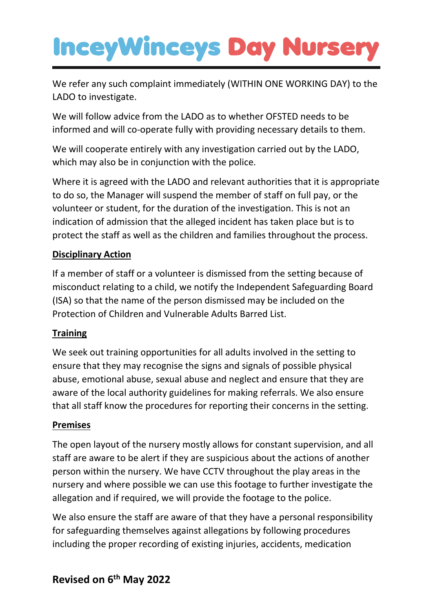# **InceyWinceys Day Nurse**

We refer any such complaint immediately (WITHIN ONE WORKING DAY) to the LADO to investigate.

We will follow advice from the LADO as to whether OFSTED needs to be informed and will co-operate fully with providing necessary details to them.

We will cooperate entirely with any investigation carried out by the LADO, which may also be in conjunction with the police.

Where it is agreed with the LADO and relevant authorities that it is appropriate to do so, the Manager will suspend the member of staff on full pay, or the volunteer or student, for the duration of the investigation. This is not an indication of admission that the alleged incident has taken place but is to protect the staff as well as the children and families throughout the process.

#### **Disciplinary Action**

If a member of staff or a volunteer is dismissed from the setting because of misconduct relating to a child, we notify the Independent Safeguarding Board (ISA) so that the name of the person dismissed may be included on the Protection of Children and Vulnerable Adults Barred List.

#### **Training**

We seek out training opportunities for all adults involved in the setting to ensure that they may recognise the signs and signals of possible physical abuse, emotional abuse, sexual abuse and neglect and ensure that they are aware of the local authority guidelines for making referrals. We also ensure that all staff know the procedures for reporting their concerns in the setting.

#### **Premises**

The open layout of the nursery mostly allows for constant supervision, and all staff are aware to be alert if they are suspicious about the actions of another person within the nursery. We have CCTV throughout the play areas in the nursery and where possible we can use this footage to further investigate the allegation and if required, we will provide the footage to the police.

We also ensure the staff are aware of that they have a personal responsibility for safeguarding themselves against allegations by following procedures including the proper recording of existing injuries, accidents, medication